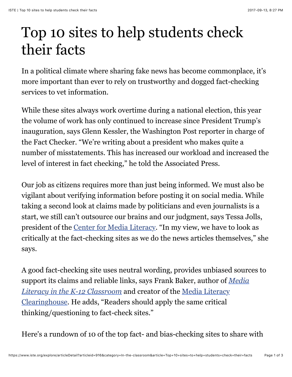## Top 10 sites to help students check their facts

In a political climate where sharing fake news has become commonplace, it's more important than ever to rely on trustworthy and dogged fact-checking services to vet information.

While these sites always work overtime during a national election, this year the volume of work has only continued to increase since President Trump's inauguration, says Glenn Kessler, the Washington Post reporter in charge of the Fact Checker. "We're writing about a president who makes quite a number of misstatements. This has increased our workload and increased the level of interest in fact checking," he told the Associated Press.

Our job as citizens requires more than just being informed. We must also be vigilant about verifying information before posting it on social media. While taking a second look at claims made by politicians and even journalists is a start, we still can't outsource our brains and our judgment, says Tessa Jolls, president of the [Center for Media Literacy.](http://www.medialit.org/) "In my view, we have to look as critically at the fact-checking sites as we do the news articles themselves," she says.

A good fact-checking site uses neutral wording, provides unbiased sources to [support its claims and reliable links, says Frank Baker, author of](https://www.iste.org/resources/product?id=3948&name=Media+Literacy+in+the+K-12+Classroom%2C+Second+Edition) *Media Literacy in the K-12 Classroom* and creator of the Media Literacy [Clearinghouse. He adds, "Readers should apply the same critical](http://frankwbaker.com/mlc/) thinking/questioning to fact-check sites."

Here's a rundown of 10 of the top fact- and bias-checking sites to share with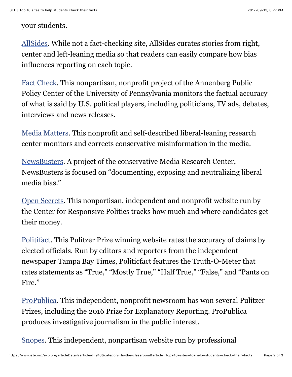## your students.

[AllSides.](http://www.allsides.com/) While not a fact-checking site, AllSides curates stories from right, center and left-leaning media so that readers can easily compare how bias influences reporting on each topic.

[Fact Check.](http://www.factcheck.org/) This nonpartisan, nonprofit project of the Annenberg Public Policy Center of the University of Pennsylvania monitors the factual accuracy of what is said by U.S. political players, including politicians, TV ads, debates, interviews and news releases.

[Media Matters.](https://mediamatters.org/) This nonprofit and self-described liberal-leaning research center monitors and corrects conservative misinformation in the media.

[NewsBusters](http://www.newsbusters.org/). A project of the conservative Media Research Center, NewsBusters is focused on "documenting, exposing and neutralizing liberal media bias."

[Open Secrets](https://www.opensecrets.org/). This nonpartisan, independent and nonprofit website run by the Center for Responsive Politics tracks how much and where candidates get their money.

[Politifact.](http://www.politifact.com/) This Pulitzer Prize winning website rates the accuracy of claims by elected officials. Run by editors and reporters from the independent newspaper Tampa Bay Times, Politicfact features the Truth-O-Meter that rates statements as "True," "Mostly True," "Half True," "False," and "Pants on Fire."

[ProPublica.](https://www.propublica.org/) This independent, nonprofit newsroom has won several Pulitzer Prizes, including the 2016 Prize for Explanatory Reporting. ProPublica produces investigative journalism in the public interest.

[Snopes](http://www.snopes.com/). This independent, nonpartisan website run by professional